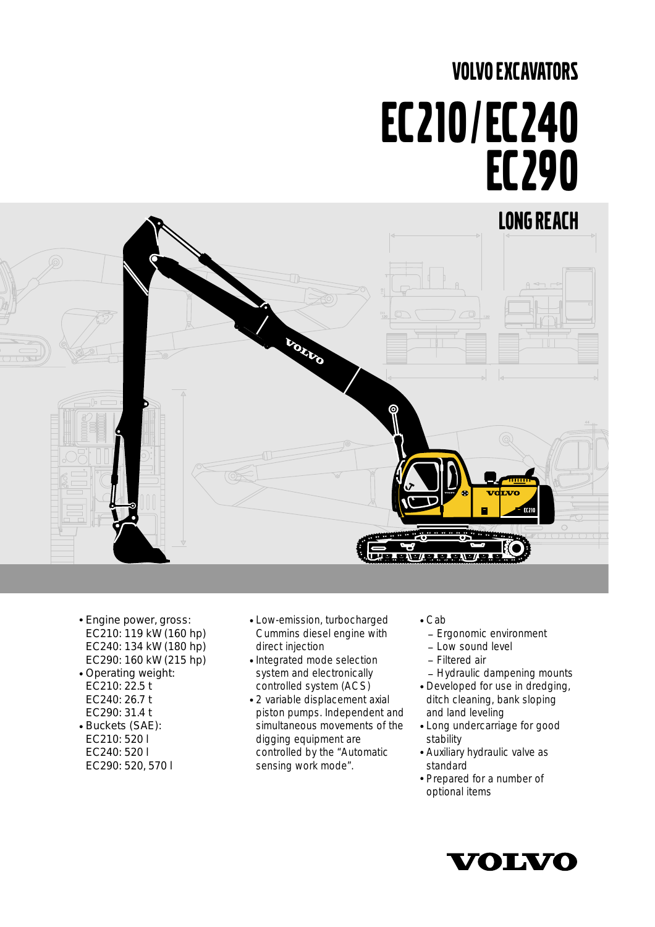# VOLVO EXCAVATORS EC210/EC240 EC290



- Engine power, gross: EC210: 119 kW (160 hp) EC240: 134 kW (180 hp) EC290: 160 kW (215 hp)
- Operating weight: EC210: 22.5 t EC240: 26.7 t EC290: 31.4 t
- Buckets (SAE): EC210: 520 l EC240: 520 l EC290: 520, 570 l
- Low-emission, turbocharged Cummins diesel engine with direct injection
- Integrated mode selection system and electronically controlled system (ACS)
- 2 variable displacement axial piston pumps. Independent and simultaneous movements of the digging equipment are controlled by the "Automatic sensing work mode".
- Cab
- \_ Ergonomic environment
- $-1$  ow sound level
- \_ Filtered air
- Hydraulic dampening mounts
- Developed for use in dredging, ditch cleaning, bank sloping and land leveling
- Long undercarriage for good stability
- Auxiliary hydraulic valve as standard
- Prepared for a number of optional items

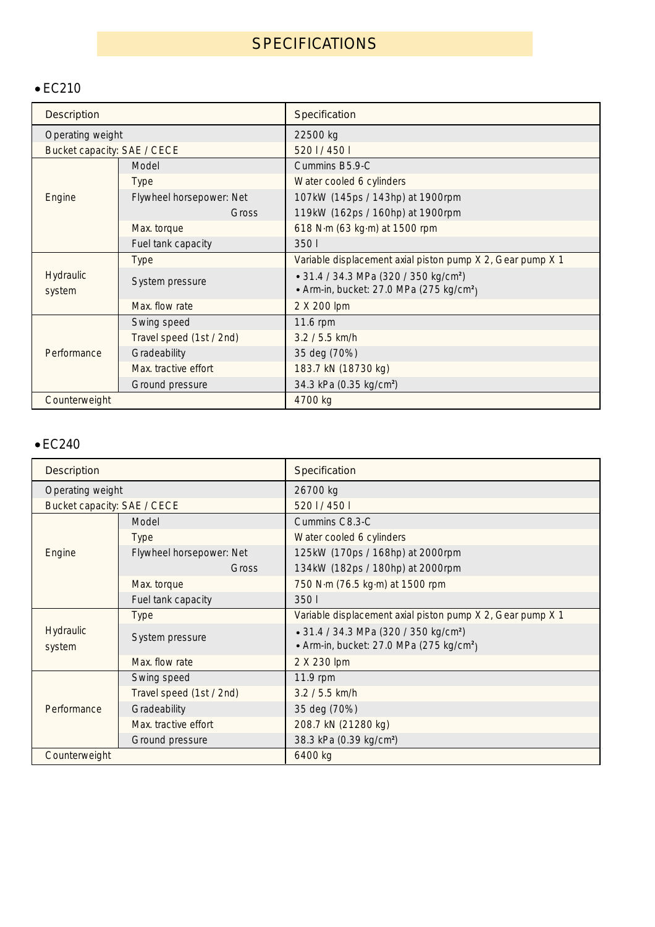# **SPECIFICATIONS**

## • EC210

| <b>Description</b>          |                          | Specification                                              |  |  |  |  |  |  |  |
|-----------------------------|--------------------------|------------------------------------------------------------|--|--|--|--|--|--|--|
| Operating weight            |                          | 22500 kg                                                   |  |  |  |  |  |  |  |
| Bucket capacity: SAE / CECE |                          | 5201/4501                                                  |  |  |  |  |  |  |  |
|                             | Model                    | Cummins B5.9-C                                             |  |  |  |  |  |  |  |
|                             | <b>Type</b>              | Water cooled 6 cylinders                                   |  |  |  |  |  |  |  |
| Engine                      | Flywheel horsepower: Net | 107kW (145ps / 143hp) at 1900rpm                           |  |  |  |  |  |  |  |
|                             | <b>Gross</b>             | 119kW (162ps / 160hp) at 1900rpm                           |  |  |  |  |  |  |  |
|                             | Max. torque              | 618 N·m (63 kg·m) at 1500 rpm                              |  |  |  |  |  |  |  |
|                             | Fuel tank capacity       | 3501                                                       |  |  |  |  |  |  |  |
|                             | <b>Type</b>              | Variable displacement axial piston pump X 2, Gear pump X 1 |  |  |  |  |  |  |  |
| Hydraulic                   | System pressure          | • 31.4 / 34.3 MPa (320 / 350 kg/cm <sup>2</sup> )          |  |  |  |  |  |  |  |
| system                      |                          | • Arm-in, bucket: 27.0 MPa (275 kg/cm <sup>2</sup> )       |  |  |  |  |  |  |  |
|                             | Max. flow rate           | 2 X 200 lpm                                                |  |  |  |  |  |  |  |
|                             | Swing speed              | 11.6 rpm                                                   |  |  |  |  |  |  |  |
|                             | Travel speed (1st / 2nd) | $3.2 / 5.5$ km/h                                           |  |  |  |  |  |  |  |
| Performance                 | Gradeability             | 35 deg (70%)                                               |  |  |  |  |  |  |  |
|                             | Max. tractive effort     | 183.7 kN (18730 kg)                                        |  |  |  |  |  |  |  |
|                             | Ground pressure          | 34.3 kPa (0.35 kg/cm <sup>2</sup> )                        |  |  |  |  |  |  |  |
| Counterweight               |                          | 4700 kg                                                    |  |  |  |  |  |  |  |

## • EC240

| <b>Description</b>          |                          | Specification                                                                                             |  |  |  |  |  |  |  |  |
|-----------------------------|--------------------------|-----------------------------------------------------------------------------------------------------------|--|--|--|--|--|--|--|--|
| Operating weight            |                          | 26700 kg                                                                                                  |  |  |  |  |  |  |  |  |
| Bucket capacity: SAE / CECE |                          | 5201/4501                                                                                                 |  |  |  |  |  |  |  |  |
|                             | Model                    | Cummins C8.3-C                                                                                            |  |  |  |  |  |  |  |  |
|                             | <b>Type</b>              | Water cooled 6 cylinders                                                                                  |  |  |  |  |  |  |  |  |
| Engine                      | Flywheel horsepower: Net | 125kW (170ps / 168hp) at 2000rpm                                                                          |  |  |  |  |  |  |  |  |
|                             | Gross                    | 134kW (182ps / 180hp) at 2000rpm                                                                          |  |  |  |  |  |  |  |  |
|                             | Max. torque              | 750 N·m (76.5 kg·m) at 1500 rpm                                                                           |  |  |  |  |  |  |  |  |
|                             | Fuel tank capacity       | 3501                                                                                                      |  |  |  |  |  |  |  |  |
|                             | <b>Type</b>              | Variable displacement axial piston pump X 2, Gear pump X 1                                                |  |  |  |  |  |  |  |  |
| Hydraulic<br>system         | System pressure          | • 31.4 / 34.3 MPa (320 / 350 kg/cm <sup>2</sup> )<br>• Arm-in, bucket: 27.0 MPa (275 kg/cm <sup>2</sup> ) |  |  |  |  |  |  |  |  |
|                             | Max. flow rate           | 2 X 230 lpm                                                                                               |  |  |  |  |  |  |  |  |
|                             | Swing speed              | 11.9 rpm                                                                                                  |  |  |  |  |  |  |  |  |
|                             | Travel speed (1st / 2nd) | $3.2 / 5.5$ km/h                                                                                          |  |  |  |  |  |  |  |  |
| Performance                 | Gradeability             | 35 deg (70%)                                                                                              |  |  |  |  |  |  |  |  |
|                             | Max. tractive effort     | 208.7 kN (21280 kg)                                                                                       |  |  |  |  |  |  |  |  |
|                             | Ground pressure          | 38.3 kPa (0.39 kg/cm <sup>2</sup> )                                                                       |  |  |  |  |  |  |  |  |
| Counterweight               |                          | 6400 kg                                                                                                   |  |  |  |  |  |  |  |  |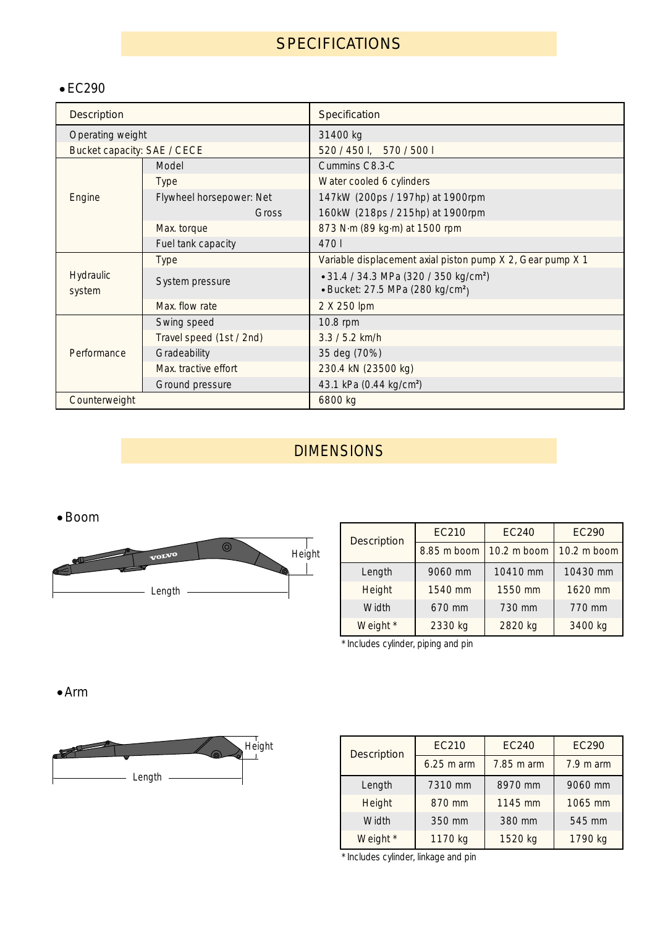# **SPECIFICATIONS**

## EC290

| <b>Description</b>          |                          | Specification                                                                                     |  |  |  |  |  |  |
|-----------------------------|--------------------------|---------------------------------------------------------------------------------------------------|--|--|--|--|--|--|
| Operating weight            |                          | 31400 kg                                                                                          |  |  |  |  |  |  |
| Bucket capacity: SAE / CECE |                          | 520 / 450 l, 570 / 500 l                                                                          |  |  |  |  |  |  |
|                             | Model                    | Cummins C8.3-C                                                                                    |  |  |  |  |  |  |
|                             | <b>Type</b>              | Water cooled 6 cylinders                                                                          |  |  |  |  |  |  |
| Engine                      | Flywheel horsepower: Net | 147kW (200ps / 197hp) at 1900rpm                                                                  |  |  |  |  |  |  |
|                             | Gross                    | 160kW (218ps / 215hp) at 1900rpm                                                                  |  |  |  |  |  |  |
|                             | Max. torque              | 873 N·m (89 kg·m) at 1500 rpm                                                                     |  |  |  |  |  |  |
|                             | Fuel tank capacity       | 4701                                                                                              |  |  |  |  |  |  |
|                             | <b>Type</b>              | Variable displacement axial piston pump X 2, Gear pump X 1                                        |  |  |  |  |  |  |
| Hydraulic                   | System pressure          | • 31.4 / 34.3 MPa (320 / 350 kg/cm <sup>2</sup> )<br>• Bucket: 27.5 MPa (280 kg/cm <sup>2</sup> ) |  |  |  |  |  |  |
| system                      | Max. flow rate           | 2 X 250 lpm                                                                                       |  |  |  |  |  |  |
|                             | Swing speed              | 10.8 rpm                                                                                          |  |  |  |  |  |  |
|                             | Travel speed (1st / 2nd) | $3.3 / 5.2$ km/h                                                                                  |  |  |  |  |  |  |
| Performance                 | Gradeability             | 35 deg (70%)                                                                                      |  |  |  |  |  |  |
|                             | Max. tractive effort     | 230.4 kN (23500 kg)                                                                               |  |  |  |  |  |  |
|                             | Ground pressure          | 43.1 kPa (0.44 kg/cm <sup>2</sup> )                                                               |  |  |  |  |  |  |
| Counterweight               |                          | 6800 kg                                                                                           |  |  |  |  |  |  |

# DIMENSIONS

## Boom



| <b>Description</b> | <b>EC210</b> | <b>EC240</b> | <b>EC290</b> |  |  |  |  |
|--------------------|--------------|--------------|--------------|--|--|--|--|
|                    | 8.85 m boom  | 10.2 m boom  | 10.2 m boom  |  |  |  |  |
| Length             | 9060 mm      | 10410 mm     | 10430 mm     |  |  |  |  |
| <b>Height</b>      | 1540 mm      | 1550 mm      | 1620 mm      |  |  |  |  |
| Width              | 670 mm       | 730 mm       | 770 mm       |  |  |  |  |
| Weight *           | 2330 kg      | 2820 kg      | 3400 kg      |  |  |  |  |

\* Includes cylinder, piping and pin

Arm



| <b>Description</b> | <b>EC210</b> | <b>EC240</b> | <b>EC290</b>        |  |  |  |
|--------------------|--------------|--------------|---------------------|--|--|--|
|                    | $6.25$ m arm | 7.85 m arm   | $7.9 \text{ m}$ arm |  |  |  |
| Length             | 7310 mm      | 8970 mm      | 9060 mm             |  |  |  |
| Height             | 870 mm       | 1145 mm      | 1065 mm             |  |  |  |
| Width              | 350 mm       | 380 mm       | 545 mm              |  |  |  |
| Weight *           | 1170 kg      | 1520 kg      | 1790 kg             |  |  |  |

\* Includes cylinder, linkage and pin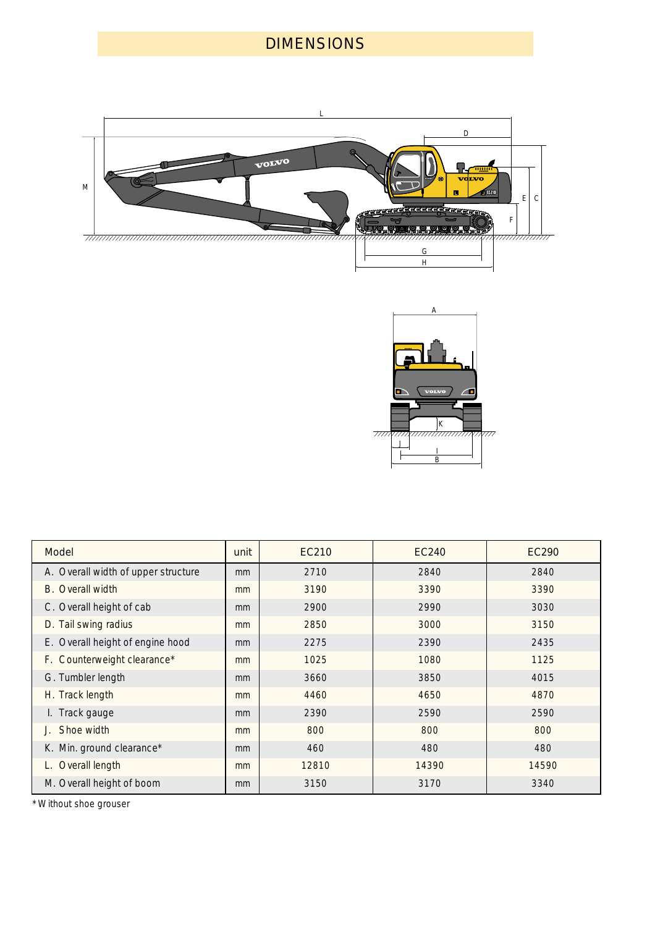# DIMENSIONS





| <b>Model</b>                        | unit | EC210 | <b>EC240</b> | EC290 |
|-------------------------------------|------|-------|--------------|-------|
| A. Overall width of upper structure | mm   | 2710  | 2840         | 2840  |
| Overall width<br>B.                 | mm   | 3190  | 3390         | 3390  |
| C. Overall height of cab            | mm   | 2900  | 2990         | 3030  |
| D. Tail swing radius                | mm   | 2850  | 3000         | 3150  |
| E. Overall height of engine hood    | mm   | 2275  | 2390         | 2435  |
| F. Counterweight clearance*         | mm   | 1025  | 1080         | 1125  |
| G. Tumbler length                   | mm   | 3660  | 3850         | 4015  |
| H. Track length                     | mm   | 4460  | 4650         | 4870  |
| I. Track gauge                      | mm   | 2390  | 2590         | 2590  |
| Shoe width                          | mm   | 800   | 800          | 800   |
| K. Min. ground clearance*           | mm   | 460   | 480          | 480   |
| Overall length                      | mm   | 12810 | 14390        | 14590 |
| M. Overall height of boom           | mm   | 3150  | 3170         | 3340  |

\* Without shoe grouser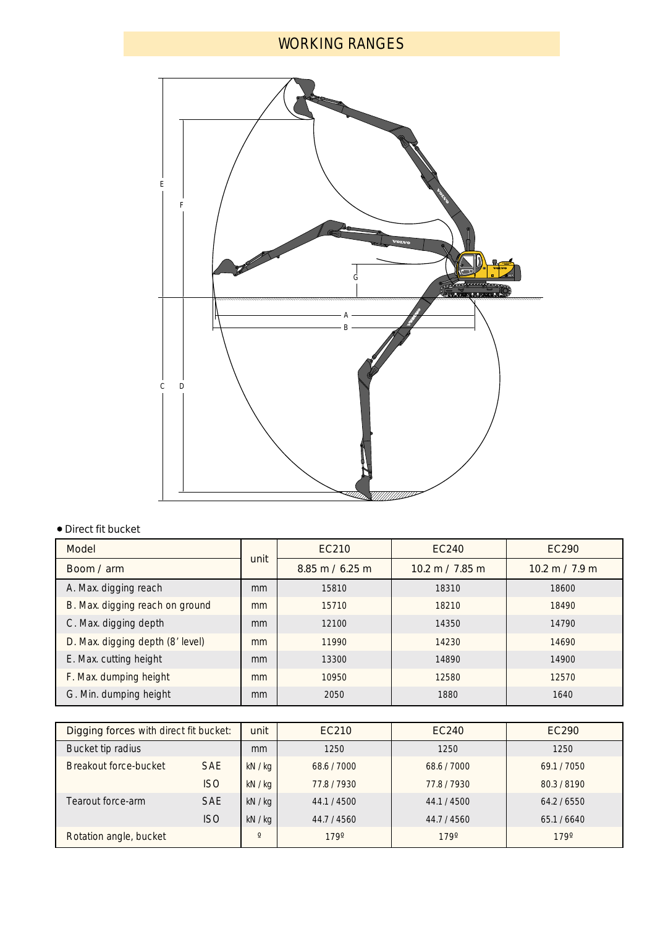# WORKING RANGES



## Direct fit bucket

| Model                            |      | EC210                             | <b>EC240</b>                      | EC290                            |
|----------------------------------|------|-----------------------------------|-----------------------------------|----------------------------------|
| Boom / arm                       | unit | $8.85 \text{ m} / 6.25 \text{ m}$ | $10.2 \text{ m} / 7.85 \text{ m}$ | $10.2 \text{ m} / 7.9 \text{ m}$ |
| A. Max. digging reach            | mm   | 15810                             | 18310                             | 18600                            |
| B. Max. digging reach on ground  | mm   | 15710                             | 18210                             | 18490                            |
| C. Max. digging depth            | mm   | 12100                             | 14350                             | 14790                            |
| D. Max. digging depth (8' level) | mm   | 11990                             | 14230                             | 14690                            |
| E. Max. cutting height           | mm   | 13300                             | 14890                             | 14900                            |
| F. Max. dumping height           | mm   | 10950                             | 12580                             | 12570                            |
| G. Min. dumping height           | mm   | 2050                              | 1880                              | 1640                             |

| Digging forces with direct fit bucket: |            | unit    | EC210       | EC240       | EC290     |
|----------------------------------------|------------|---------|-------------|-------------|-----------|
| Bucket tip radius                      |            | mm      | 1250        | 1250        | 1250      |
| Breakout force-bucket                  | <b>SAE</b> | kN/kg   | 68.6/7000   | 68.6/7000   | 69.1/7050 |
|                                        | <b>ISO</b> | kN/kg   | 77.8/7930   | 77.8/7930   | 80.3/8190 |
| Tearout force-arm                      | <b>SAE</b> | kN/kg   | 44.1 / 4500 | 44.1 / 4500 | 64.2/6550 |
|                                        | <b>ISO</b> | kN/kg   | 44.7 / 4560 | 44.7 / 4560 | 65.1/6640 |
| Rotation angle, bucket                 |            | $\circ$ | 179°        | 179°        | 179°      |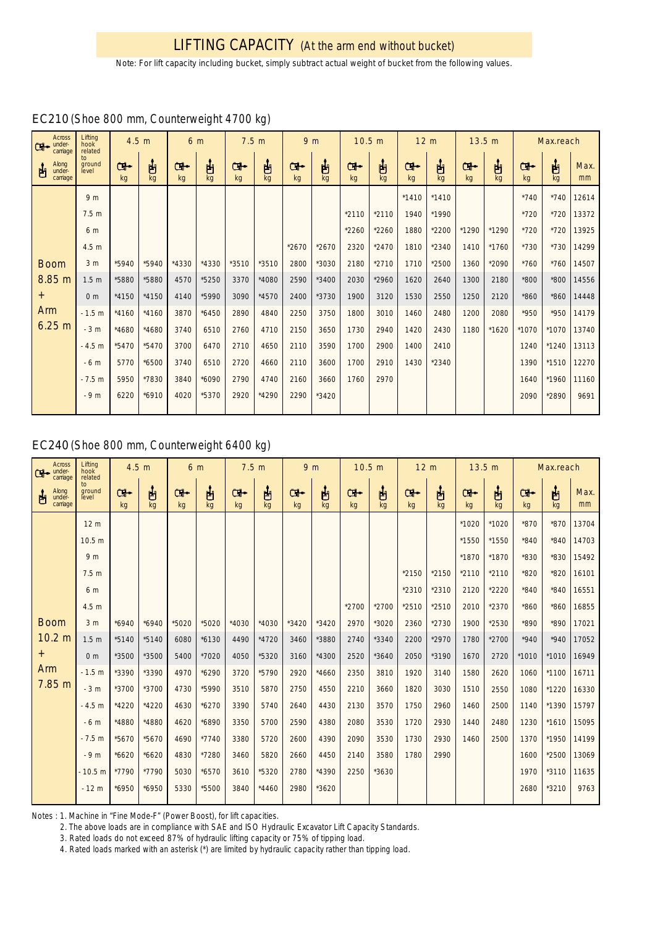*Note: For lift capacity including bucket, simply subtract actual weight of bucket from the following values.*

| <b>Across</b><br>under-<br>carriage | Lifting<br>hook<br>related | 4.5 m<br>6 m |         |         |         | 7.5 <sub>m</sub> | 9 <sub>m</sub> |         |          | 10.5 m  | 12 <sub>m</sub> |         | 13.5 m  |         |          | Max.reach |         |            |
|-------------------------------------|----------------------------|--------------|---------|---------|---------|------------------|----------------|---------|----------|---------|-----------------|---------|---------|---------|----------|-----------|---------|------------|
| Along<br>under-<br>carriage<br>甴    | to<br>ground<br>level      | ው<br>kg      | 甴<br>kg | œ<br>kg | 甴<br>kg | ඐ<br>kg          | 甴<br>kg        | œ<br>kg | ப்<br>kg | Ⴇ<br>kg | ပျော်<br>kg     | œ<br>kg | 甴<br>kg | Ⴇ<br>kg | ப்<br>kg | œ<br>kg   | 山<br>ka | Max.<br>mm |
|                                     | 9 <sub>m</sub>             |              |         |         |         |                  |                |         |          |         |                 | $*1410$ | $*1410$ |         |          | $*740$    | $*740$  | 12614      |
|                                     | 7.5 <sub>m</sub>           |              |         |         |         |                  |                |         |          | $*2110$ | $*2110$         | 1940    | *1990   |         |          | *720      | $*720$  | 13372      |
|                                     | 6 m                        |              |         |         |         |                  |                |         |          | $*2260$ | *2260           | 1880    | *2200   | *1290   | *1290    | $*720$    | $*720$  | 13925      |
|                                     | 4.5 <sub>m</sub>           |              |         |         |         |                  |                | $*2670$ | $*2670$  | 2320    | $*2470$         | 1810    | $*2340$ | 1410    | $*1760$  | $*730$    | $*730$  | 14299      |
| <b>Boom</b>                         | 3 <sub>m</sub>             | *5940        | *5940   | *4330   | *4330   | $*3510$          | *3510          | 2800    | *3030    | 2180    | $*2710$         | 1710    | *2500   | 1360    | *2090    | $*760$    | $*760$  | 14507      |
| 8.85 m                              | 1.5 <sub>m</sub>           | *5880        | *5880   | 4570    | *5250   | 3370             | *4080          | 2590    | $*3400$  | 2030    | *2960           | 1620    | 2640    | 1300    | 2180     | *800      | *800    | 14556      |
| $^{+}$                              | 0 <sub>m</sub>             | *4150        | *4150   | 4140    | *5990   | 3090             | *4570          | 2400    | *3730    | 1900    | 3120            | 1530    | 2550    | 1250    | 2120     | $*860$    | $*860$  | 14448      |
| Arm                                 | $-1.5 m$                   | $*4160$      | $*4160$ | 3870    | $*6450$ | 2890             | 4840           | 2250    | 3750     | 1800    | 3010            | 1460    | 2480    | 1200    | 2080     | *950      | *950    | 14179      |
| 6.25 m                              | $-3m$                      | *4680        | *4680   | 3740    | 6510    | 2760             | 4710           | 2150    | 3650     | 1730    | 2940            | 1420    | 2430    | 1180    | $*1620$  | *1070     | *1070   | 13740      |
|                                     | $-4.5 m$                   | *5470        | $*5470$ | 3700    | 6470    | 2710             | 4650           | 2110    | 3590     | 1700    | 2900            | 1400    | 2410    |         |          | 1240      | *1240   | 13113      |
|                                     | $-6m$                      | 5770         | *6500   | 3740    | 6510    | 2720             | 4660           | 2110    | 3600     | 1700    | 2910            | 1430    | $*2340$ |         |          | 1390      | *1510   | 12270      |
|                                     | $-7.5 m$                   | 5950         | *7830   | 3840    | *6090   | 2790             | 4740           | 2160    | 3660     | 1760    | 2970            |         |         |         |          | 1640      | *1960   | 11160      |
|                                     | $-9m$                      | 6220         | $*6910$ | 4020    | *5370   | 2920             | *4290          | 2290    | *3420    |         |                 |         |         |         |          | 2090      | *2890   | 9691       |
|                                     |                            |              |         |         |         |                  |                |         |          |         |                 |         |         |         |          |           |         |            |

## EC210 (Shoe 800 mm, Counterweight 4700 kg)

## EC240 (Shoe 800 mm, Counterweight 6400 kg)

| <b>Across</b><br>under-<br>carriage | Lifting<br>hook<br>related | 4.5 <sub>m</sub> |          | 6 m      |          | 7.5 <sub>m</sub><br>9 <sub>m</sub> |          |          |          | 10.5 m    |          | 12 <sub>m</sub> |         | 13.5 m    |          |          | Max.reach |            |
|-------------------------------------|----------------------------|------------------|----------|----------|----------|------------------------------------|----------|----------|----------|-----------|----------|-----------------|---------|-----------|----------|----------|-----------|------------|
| Along<br>under-<br>凷<br>carriage    | to<br>ground<br>level      | ሙ<br>kg          | ப்<br>kg | Ċŀ<br>kg | ப்<br>kg | ়ে⊷<br>kg                          | ப்<br>kg | ⊶⊡<br>kg | ழ்<br>kg | Ċ۲.<br>kg | ப்<br>kg | Œ.<br>kg        | ႕<br>kg | ়ে⊷<br>kg | ப்<br>kg | Ċŀ<br>kg | ப்<br>kg  | Max.<br>mm |
|                                     | 12 <sub>m</sub>            |                  |          |          |          |                                    |          |          |          |           |          |                 |         | *1020     | *1020    | $*870$   | $*870$    | 13704      |
|                                     | 10.5 <sub>m</sub>          |                  |          |          |          |                                    |          |          |          |           |          |                 |         | *1550     | *1550    | $*840$   | $*840$    | 14703      |
|                                     | 9 <sub>m</sub>             |                  |          |          |          |                                    |          |          |          |           |          |                 |         | *1870     | *1870    | *830     | $*830$    | 15492      |
|                                     | 7.5 <sub>m</sub>           |                  |          |          |          |                                    |          |          |          |           |          | *2150           | *2150   | $*2110$   | $*2110$  | *820     | $*820$    | 16101      |
|                                     | 6 m                        |                  |          |          |          |                                    |          |          |          |           |          | $*2310$         | $*2310$ | 2120      | *2220    | $*840$   | $*840$    | 16551      |
|                                     | 4.5 m                      |                  |          |          |          |                                    |          |          |          | $*2700$   | *2700    | *2510           | *2510   | 2010      | *2370    | *860     | $*860$    | 16855      |
| <b>Boom</b>                         | 3 <sub>m</sub>             | $*6940$          | $*6940$  | *5020    | *5020    | $*4030$                            | $*4030$  | $*3420$  | $*3420$  | 2970      | *3020    | 2360            | $*2730$ | 1900      | *2530    | *890     | *890      | 17021      |
| 10.2 m                              | 1.5 <sub>m</sub>           | $*5140$          | $*5140$  | 6080     | $*6130$  | 4490                               | $*4720$  | 3460     | *3880    | 2740      | *3340    | 2200            | *2970   | 1780      | $*2700$  | $*940$   | $*940$    | 17052      |
| $^{+}$                              | 0 <sub>m</sub>             | *3500            | *3500    | 5400     | *7020    | 4050                               | *5320    | 3160     | *4300    | 2520      | $*3640$  | 2050            | *3190   | 1670      | 2720     | $*1010$  | $*1010$   | 16949      |
| Arm                                 | $-1.5 m$                   | *3390            | *3390    | 4970     | *6290    | 3720                               | *5790    | 2920     | $*4660$  | 2350      | 3810     | 1920            | 3140    | 1580      | 2620     | 1060     | $*1100$   | 16711      |
| 7.85 m                              | $-3m$                      | *3700            | *3700    | 4730     | *5990    | 3510                               | 5870     | 2750     | 4550     | 2210      | 3660     | 1820            | 3030    | 1510      | 2550     | 1080     | $*1220$   | 16330      |
|                                     | $-4.5 m$                   | *4220            | *4220    | 4630     | $*6270$  | 3390                               | 5740     | 2640     | 4430     | 2130      | 3570     | 1750            | 2960    | 1460      | 2500     | 1140     | *1390     | 15797      |
|                                     | $-6m$                      | *4880            | *4880    | 4620     | *6890    | 3350                               | 5700     | 2590     | 4380     | 2080      | 3530     | 1720            | 2930    | 1440      | 2480     | 1230     | $*1610$   | 15095      |
|                                     | $-7.5 m$                   | *5670            | *5670    | 4690     | $*7740$  | 3380                               | 5720     | 2600     | 4390     | 2090      | 3530     | 1730            | 2930    | 1460      | 2500     | 1370     | *1950     | 14199      |
|                                     | $-9m$                      | $*6620$          | $*6620$  | 4830     | *7280    | 3460                               | 5820     | 2660     | 4450     | 2140      | 3580     | 1780            | 2990    |           |          | 1600     | $*2500$   | 13069      |
|                                     | $-10.5m$                   | *7790            | *7790    | 5030     | $*6570$  | 3610                               | *5320    | 2780     | *4390    | 2250      | *3630    |                 |         |           |          | 1970     | $*3110$   | 11635      |
|                                     | $-12m$                     | *6950            | *6950    | 5330     | *5500    | 3840                               | $*4460$  | 2980     | *3620    |           |          |                 |         |           |          | 2680     | *3210     | 9763       |

Notes : 1. Machine in "Fine Mode-F" (Power Boost), for lift capacities.

2. The above loads are in compliance with SAE and ISO Hydraulic Excavator Lift Capacity Standards.

3. Rated loads do not exceed 87% of hydraulic lifting capacity or 75% of tipping load.

4. Rated loads marked with an asterisk (\*) are limited by hydraulic capacity rather than tipping load.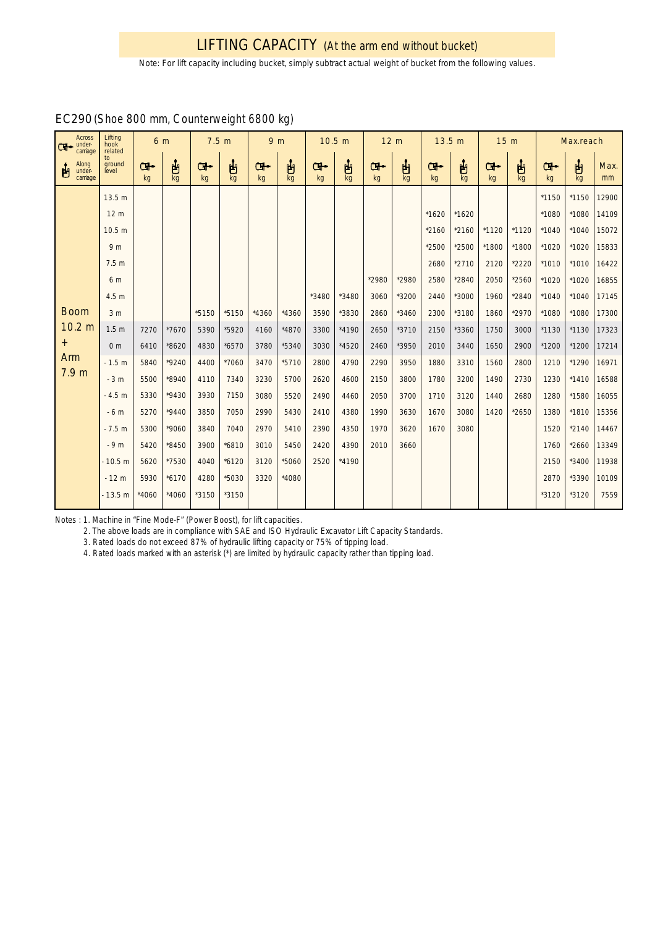## LIFTING CAPACITY (At the arm end without bucket)

*Note: For lift capacity including bucket, simply subtract actual weight of bucket from the following values.*

| <b>Across</b><br>under-<br>carriage | Lifting<br>hook<br>related | 6 m     |          | 7.5 <sub>m</sub> |         | 9 <sub>m</sub> |         | 10.5 m  |           | 12 <sub>m</sub> |          | 13.5 m           |         | 15 <sub>m</sub> |           |          | Max.reach |            |
|-------------------------------------|----------------------------|---------|----------|------------------|---------|----------------|---------|---------|-----------|-----------------|----------|------------------|---------|-----------------|-----------|----------|-----------|------------|
| Along<br>under-<br>凷<br>carriage    | to<br>ground<br>level      | ው<br>kg | ப்<br>kg | Œ⊷<br>kg         | 占<br>kg | Ⴇ<br>kq        | 甴<br>kg | Ⴇ<br>kg | ပျံ<br>kg | Œ.<br>kg        | ப்<br>kg | <b>GH-</b><br>kg | ႕<br>kg | Œ.<br>kg        | ပျံ<br>kg | Œ₩<br>kg | 甴<br>kg   | Max.<br>mm |
|                                     | 13.5 m                     |         |          |                  |         |                |         |         |           |                 |          |                  |         |                 |           | *1150    | *1150     | 12900      |
|                                     | 12 <sub>m</sub>            |         |          |                  |         |                |         |         |           |                 |          | *1620            | $*1620$ |                 |           | *1080    | *1080     | 14109      |
|                                     | 10.5 <sub>m</sub>          |         |          |                  |         |                |         |         |           |                 |          | $*2160$          | $*2160$ | $*1120$         | $*1120$   | $*1040$  | $*1040$   | 15072      |
|                                     | 9 <sub>m</sub>             |         |          |                  |         |                |         |         |           |                 |          | $*2500$          | *2500   | *1800           | *1800     | *1020    | $*1020$   | 15833      |
|                                     | 7.5 <sub>m</sub>           |         |          |                  |         |                |         |         |           |                 |          | 2680             | $*2710$ | 2120            | $*2220$   | $*1010$  | $*1010$   | 16422      |
|                                     | 6 m                        |         |          |                  |         |                |         |         |           | *2980           | *2980    | 2580             | *2840   | 2050            | $*2560$   | *1020    | *1020     | 16855      |
|                                     | 4.5 <sub>m</sub>           |         |          |                  |         |                |         | *3480   | *3480     | 3060            | *3200    | 2440             | *3000   | 1960            | *2840     | $*1040$  | $*1040$   | 17145      |
| <b>Boom</b>                         | 3 <sub>m</sub>             |         |          | *5150            | *5150   | $*4360$        | $*4360$ | 3590    | *3830     | 2860            | $*3460$  | 2300             | *3180   | 1860            | *2970     | *1080    | *1080     | 17300      |
| 10.2 <sub>m</sub>                   | 1.5 <sub>m</sub>           | 7270    | *7670    | 5390             | *5920   | 4160           | *4870   | 3300    | *4190     | 2650            | $*3710$  | 2150             | *3360   | 1750            | 3000      | *1130    | $*1130$   | 17323      |
| $^{+}$                              | 0 <sub>m</sub>             | 6410    | *8620    | 4830             | *6570   | 3780           | *5340   | 3030    | *4520     | 2460            | *3950    | 2010             | 3440    | 1650            | 2900      | *1200    | $*1200$   | 17214      |
| Arm<br>7.9 <sub>m</sub>             | $-1.5 m$                   | 5840    | $*9240$  | 4400             | *7060   | 3470           | *5710   | 2800    | 4790      | 2290            | 3950     | 1880             | 3310    | 1560            | 2800      | 1210     | *1290     | 16971      |
|                                     | $-3m$                      | 5500    | *8940    | 4110             | 7340    | 3230           | 5700    | 2620    | 4600      | 2150            | 3800     | 1780             | 3200    | 1490            | 2730      | 1230     | $*1410$   | 16588      |
|                                     | $-4.5 m$                   | 5330    | $*9430$  | 3930             | 7150    | 3080           | 5520    | 2490    | 4460      | 2050            | 3700     | 1710             | 3120    | 1440            | 2680      | 1280     | *1580     | 16055      |
|                                     | $-6m$                      | 5270    | $*9440$  | 3850             | 7050    | 2990           | 5430    | 2410    | 4380      | 1990            | 3630     | 1670             | 3080    | 1420            | $*2650$   | 1380     | *1810     | 15356      |
|                                     | $-7.5 m$                   | 5300    | *9060    | 3840             | 7040    | 2970           | 5410    | 2390    | 4350      | 1970            | 3620     | 1670             | 3080    |                 |           | 1520     | $*2140$   | 14467      |
|                                     | $-9m$                      | 5420    | *8450    | 3900             | *6810   | 3010           | 5450    | 2420    | 4390      | 2010            | 3660     |                  |         |                 |           | 1760     | $*2660$   | 13349      |
|                                     | $-10.5 m$                  | 5620    | *7530    | 4040             | $*6120$ | 3120           | *5060   | 2520    | *4190     |                 |          |                  |         |                 |           | 2150     | *3400     | 11938      |
|                                     | $-12m$                     | 5930    | $*6170$  | 4280             | *5030   | 3320           | *4080   |         |           |                 |          |                  |         |                 |           | 2870     | *3390     | 10109      |
|                                     | $-13.5 m$                  | $*4060$ | $*4060$  | *3150            | *3150   |                |         |         |           |                 |          |                  |         |                 |           | *3120    | *3120     | 7559       |

## EC290 (Shoe 800 mm, Counterweight 6800 kg)

Notes : 1. Machine in "Fine Mode-F" (Power Boost), for lift capacities.

2. The above loads are in compliance with SAE and ISO Hydraulic Excavator Lift Capacity Standards.

3. Rated loads do not exceed 87% of hydraulic lifting capacity or 75% of tipping load.

4. Rated loads marked with an asterisk (\*) are limited by hydraulic capacity rather than tipping load.